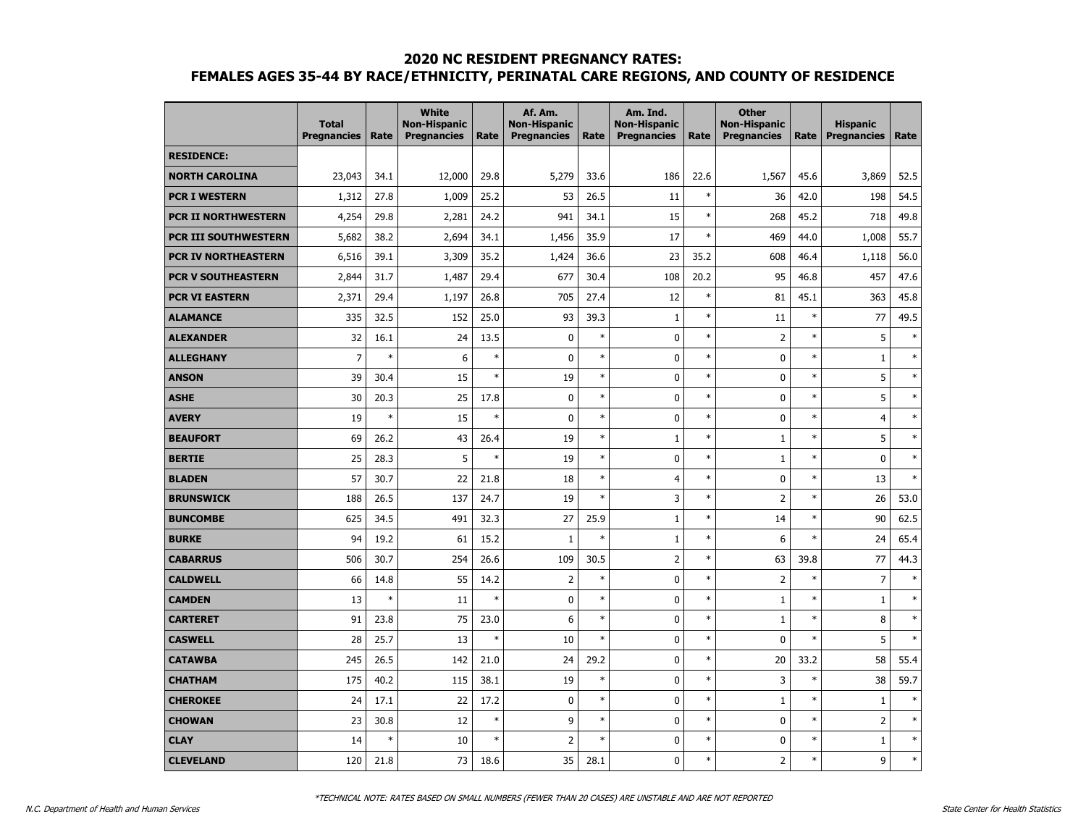#### **2020 NC RESIDENT PREGNANCY RATES:**

#### **FEMALES AGES 35-44 BY RACE/ETHNICITY, PERINATAL CARE REGIONS, AND COUNTY OF RESIDENCE**

|                             | <b>Total</b><br><b>Pregnancies</b> | Rate   | <b>White</b><br><b>Non-Hispanic</b><br><b>Pregnancies</b> | Rate   | Af. Am.<br><b>Non-Hispanic</b><br><b>Pregnancies</b> | Rate   | Am. Ind.<br><b>Non-Hispanic</b><br><b>Pregnancies</b> | Rate   | <b>Other</b><br><b>Non-Hispanic</b><br><b>Pregnancies</b> | Rate   | <b>Hispanic</b><br><b>Pregnancies</b> | Rate   |
|-----------------------------|------------------------------------|--------|-----------------------------------------------------------|--------|------------------------------------------------------|--------|-------------------------------------------------------|--------|-----------------------------------------------------------|--------|---------------------------------------|--------|
| <b>RESIDENCE:</b>           |                                    |        |                                                           |        |                                                      |        |                                                       |        |                                                           |        |                                       |        |
| <b>NORTH CAROLINA</b>       | 23,043                             | 34.1   | 12,000                                                    | 29.8   | 5,279                                                | 33.6   | 186                                                   | 22.6   | 1,567                                                     | 45.6   | 3,869                                 | 52.5   |
| <b>PCR I WESTERN</b>        | 1,312                              | 27.8   | 1,009                                                     | 25.2   | 53                                                   | 26.5   | 11                                                    | $\ast$ | 36                                                        | 42.0   | 198                                   | 54.5   |
| PCR II NORTHWESTERN         | 4,254                              | 29.8   | 2,281                                                     | 24.2   | 941                                                  | 34.1   | 15                                                    | $\ast$ | 268                                                       | 45.2   | 718                                   | 49.8   |
| <b>PCR III SOUTHWESTERN</b> | 5,682                              | 38.2   | 2,694                                                     | 34.1   | 1,456                                                | 35.9   | 17                                                    | $\ast$ | 469                                                       | 44.0   | 1,008                                 | 55.7   |
| <b>PCR IV NORTHEASTERN</b>  | 6,516                              | 39.1   | 3,309                                                     | 35.2   | 1,424                                                | 36.6   | 23                                                    | 35.2   | 608                                                       | 46.4   | 1,118                                 | 56.0   |
| <b>PCR V SOUTHEASTERN</b>   | 2,844                              | 31.7   | 1,487                                                     | 29.4   | 677                                                  | 30.4   | 108                                                   | 20.2   | 95                                                        | 46.8   | 457                                   | 47.6   |
| <b>PCR VI EASTERN</b>       | 2,371                              | 29.4   | 1,197                                                     | 26.8   | 705                                                  | 27.4   | 12                                                    | $\ast$ | 81                                                        | 45.1   | 363                                   | 45.8   |
| <b>ALAMANCE</b>             | 335                                | 32.5   | 152                                                       | 25.0   | 93                                                   | 39.3   | 1                                                     | $\ast$ | 11                                                        | $\ast$ | 77                                    | 49.5   |
| <b>ALEXANDER</b>            | 32                                 | 16.1   | 24                                                        | 13.5   | 0                                                    | $\ast$ | $\mathbf{0}$                                          | $\ast$ | $\overline{2}$                                            | $\ast$ | 5                                     | $\ast$ |
| <b>ALLEGHANY</b>            | $\overline{7}$                     | $\ast$ | 6                                                         | $\ast$ | 0                                                    | $\ast$ | $\mathbf 0$                                           | $\ast$ | 0                                                         | $\ast$ | $\mathbf{1}$                          | $\ast$ |
| <b>ANSON</b>                | 39                                 | 30.4   | 15                                                        | $\ast$ | 19                                                   | $\ast$ | $\mathbf 0$                                           | $\ast$ | 0                                                         | $\ast$ | 5                                     | $\ast$ |
| <b>ASHE</b>                 | 30                                 | 20.3   | 25                                                        | 17.8   | 0                                                    | $\ast$ | $\mathbf 0$                                           | $\ast$ | 0                                                         | $\ast$ | 5                                     | $\ast$ |
| <b>AVERY</b>                | 19                                 | $\ast$ | 15                                                        | $\ast$ | 0                                                    | $\ast$ | $\mathbf{0}$                                          | $\ast$ | 0                                                         | $\ast$ | $\overline{4}$                        | $\ast$ |
| <b>BEAUFORT</b>             | 69                                 | 26.2   | 43                                                        | 26.4   | 19                                                   | $\ast$ | $1\,$                                                 | $\ast$ | $\mathbf{1}$                                              | $\ast$ | 5                                     | $\ast$ |
| <b>BERTIE</b>               | 25                                 | 28.3   | 5                                                         | $\ast$ | 19                                                   | $\ast$ | $\mathbf 0$                                           | $\ast$ | $\mathbf{1}$                                              | $\ast$ | $\mathbf 0$                           | $\ast$ |
| <b>BLADEN</b>               | 57                                 | 30.7   | 22                                                        | 21.8   | 18                                                   | $\ast$ | $\overline{4}$                                        | $\ast$ | 0                                                         | $\ast$ | 13                                    | $\ast$ |
| <b>BRUNSWICK</b>            | 188                                | 26.5   | 137                                                       | 24.7   | 19                                                   | $\ast$ | 3                                                     | $\ast$ | $\overline{2}$                                            | $\ast$ | 26                                    | 53.0   |
| <b>BUNCOMBE</b>             | 625                                | 34.5   | 491                                                       | 32.3   | 27                                                   | 25.9   | $1\,$                                                 | $\ast$ | 14                                                        | $\ast$ | 90                                    | 62.5   |
| <b>BURKE</b>                | 94                                 | 19.2   | 61                                                        | 15.2   | $\mathbf{1}$                                         | $\ast$ | 1                                                     | $\ast$ | 6                                                         | $\ast$ | 24                                    | 65.4   |
| <b>CABARRUS</b>             | 506                                | 30.7   | 254                                                       | 26.6   | 109                                                  | 30.5   | $\overline{2}$                                        | $\ast$ | 63                                                        | 39.8   | 77                                    | 44.3   |
| <b>CALDWELL</b>             | 66                                 | 14.8   | 55                                                        | 14.2   | $\overline{2}$                                       | $\ast$ | $\mathbf 0$                                           | $\ast$ | $\overline{2}$                                            | $\ast$ | 7                                     | $\ast$ |
| <b>CAMDEN</b>               | 13                                 | $\ast$ | 11                                                        | $\ast$ | 0                                                    | $\ast$ | $\mathbf 0$                                           | $\ast$ | $\mathbf{1}$                                              | $\ast$ | $\mathbf{1}$                          | $\ast$ |
| <b>CARTERET</b>             | 91                                 | 23.8   | 75                                                        | 23.0   | 6                                                    | $\ast$ | $\mathbf 0$                                           | $\ast$ | $\mathbf{1}$                                              | $\ast$ | 8                                     | $\ast$ |
| <b>CASWELL</b>              | 28                                 | 25.7   | 13                                                        | $\ast$ | 10                                                   | $\ast$ | $\mathbf 0$                                           | $\ast$ | 0                                                         | $\ast$ | 5                                     | $\ast$ |
| <b>CATAWBA</b>              | 245                                | 26.5   | 142                                                       | 21.0   | 24                                                   | 29.2   | $\mathbf 0$                                           | $\ast$ | 20                                                        | 33.2   | 58                                    | 55.4   |
| <b>CHATHAM</b>              | 175                                | 40.2   | 115                                                       | 38.1   | 19                                                   | $\ast$ | $\mathbf 0$                                           | $\ast$ | 3                                                         | $\ast$ | 38                                    | 59.7   |
| <b>CHEROKEE</b>             | 24                                 | 17.1   | 22                                                        | 17.2   | 0                                                    | $\ast$ | $\mathbf 0$                                           | $\ast$ | $\mathbf{1}$                                              | *      | $\mathbf{1}$                          | $\ast$ |
| <b>CHOWAN</b>               | 23                                 | 30.8   | 12                                                        | $\ast$ | 9                                                    | $\ast$ | $\mathbf 0$                                           | $\ast$ | 0                                                         | *      | 2                                     | $\ast$ |
| <b>CLAY</b>                 | 14                                 | $\ast$ | 10                                                        | $\ast$ | $\overline{2}$                                       | $\ast$ | $\mathbf 0$                                           | $\ast$ | 0                                                         | *      | $\mathbf{1}$                          | $\ast$ |
| <b>CLEVELAND</b>            | 120                                | 21.8   | 73                                                        | 18.6   | 35                                                   | 28.1   | $\mathbf 0$                                           | $\ast$ | $\overline{2}$                                            | $\ast$ | 9                                     | $\ast$ |

N.C. Department of Health and Human Services State Center for Health Statistics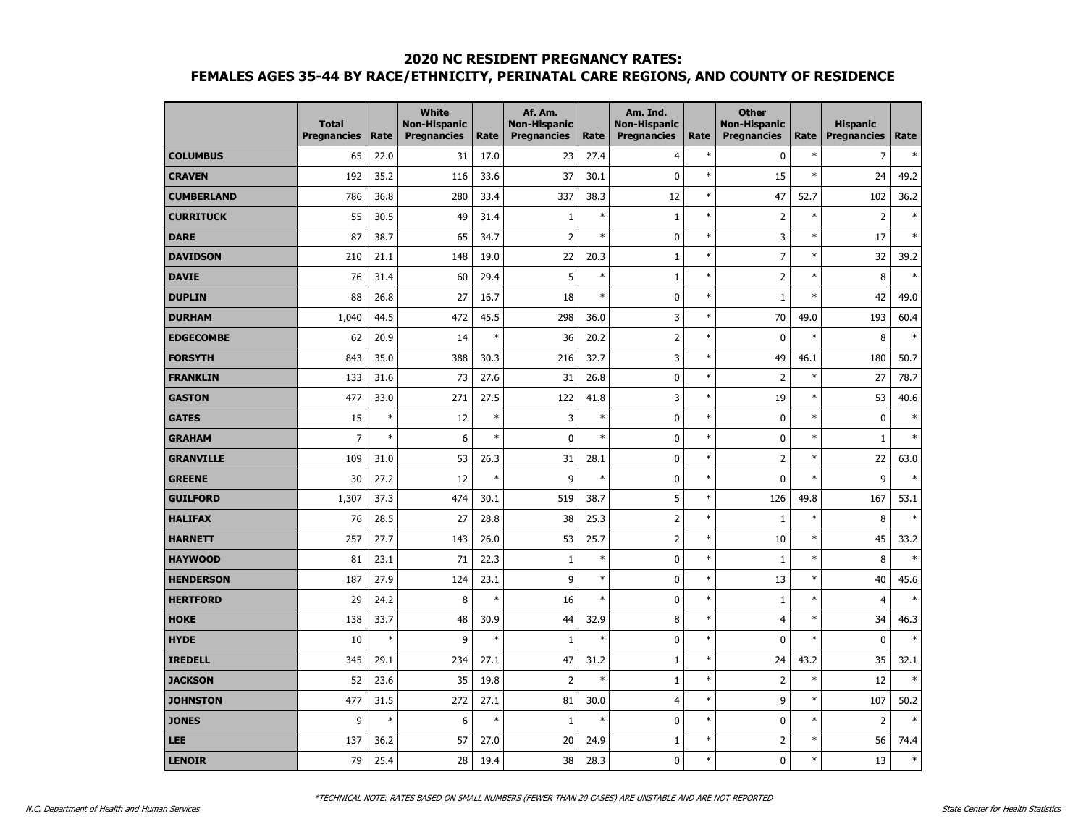# **2020 NC RESIDENT PREGNANCY RATES: FEMALES AGES 35-44 BY RACE/ETHNICITY, PERINATAL CARE REGIONS, AND COUNTY OF RESIDENCE**

|                   | <b>Total</b><br><b>Pregnancies</b> | Rate   | <b>White</b><br><b>Non-Hispanic</b><br><b>Pregnancies</b> | Rate   | Af. Am.<br><b>Non-Hispanic</b><br><b>Pregnancies</b> | Rate   | Am. Ind.<br><b>Non-Hispanic</b><br><b>Pregnancies</b> | Rate   | <b>Other</b><br><b>Non-Hispanic</b><br><b>Pregnancies</b> | Rate   | <b>Hispanic</b><br><b>Pregnancies</b> | Rate   |
|-------------------|------------------------------------|--------|-----------------------------------------------------------|--------|------------------------------------------------------|--------|-------------------------------------------------------|--------|-----------------------------------------------------------|--------|---------------------------------------|--------|
| <b>COLUMBUS</b>   | 65                                 | 22.0   | 31                                                        | 17.0   | 23                                                   | 27.4   | $\overline{4}$                                        | $\ast$ | 0                                                         | $\ast$ | $\overline{7}$                        | $\ast$ |
| <b>CRAVEN</b>     | 192                                | 35.2   | 116                                                       | 33.6   | 37                                                   | 30.1   | $\pmb{0}$                                             | $\ast$ | 15                                                        | $\ast$ | 24                                    | 49.2   |
| <b>CUMBERLAND</b> | 786                                | 36.8   | 280                                                       | 33.4   | 337                                                  | 38.3   | 12                                                    | $\ast$ | 47                                                        | 52.7   | 102                                   | 36.2   |
| <b>CURRITUCK</b>  | 55                                 | 30.5   | 49                                                        | 31.4   | $\mathbf{1}$                                         | $\ast$ | $\mathbf 1$                                           | $\ast$ | $\overline{2}$                                            | $\ast$ | $\overline{2}$                        | $\ast$ |
| <b>DARE</b>       | 87                                 | 38.7   | 65                                                        | 34.7   | $\overline{2}$                                       | $\ast$ | $\pmb{0}$                                             | $\ast$ | 3                                                         | $\ast$ | 17                                    | $\ast$ |
| <b>DAVIDSON</b>   | 210                                | 21.1   | 148                                                       | 19.0   | 22                                                   | 20.3   | $\mathbf{1}$                                          | $\ast$ | $\overline{7}$                                            | $\ast$ | 32                                    | 39.2   |
| <b>DAVIE</b>      | 76                                 | 31.4   | 60                                                        | 29.4   | 5                                                    | $\ast$ | $\mathbf{1}$                                          | $\ast$ | 2                                                         | $\ast$ | 8                                     | $\ast$ |
| <b>DUPLIN</b>     | 88                                 | 26.8   | 27                                                        | 16.7   | 18                                                   | $\ast$ | $\pmb{0}$                                             | $\ast$ | $\mathbf{1}$                                              | *      | 42                                    | 49.0   |
| <b>DURHAM</b>     | 1,040                              | 44.5   | 472                                                       | 45.5   | 298                                                  | 36.0   | 3                                                     | $\ast$ | 70                                                        | 49.0   | 193                                   | 60.4   |
| <b>EDGECOMBE</b>  | 62                                 | 20.9   | 14                                                        | $\ast$ | 36                                                   | 20.2   | $\overline{2}$                                        | $\ast$ | $\mathbf 0$                                               | $\ast$ | 8                                     | $\ast$ |
| <b>FORSYTH</b>    | 843                                | 35.0   | 388                                                       | 30.3   | 216                                                  | 32.7   | 3                                                     | $\ast$ | 49                                                        | 46.1   | 180                                   | 50.7   |
| <b>FRANKLIN</b>   | 133                                | 31.6   | 73                                                        | 27.6   | 31                                                   | 26.8   | $\pmb{0}$                                             | $\ast$ | 2                                                         | $\ast$ | 27                                    | 78.7   |
| <b>GASTON</b>     | 477                                | 33.0   | 271                                                       | 27.5   | 122                                                  | 41.8   | 3                                                     | $\ast$ | 19                                                        | $\ast$ | 53                                    | 40.6   |
| <b>GATES</b>      | 15                                 | $\ast$ | 12                                                        | $\ast$ | 3                                                    | $\ast$ | $\pmb{0}$                                             | $\ast$ | $\pmb{0}$                                                 | $\ast$ | $\mathbf 0$                           | $\ast$ |
| <b>GRAHAM</b>     | $\overline{7}$                     | $\ast$ | 6                                                         | $\ast$ | $\mathbf 0$                                          | $\ast$ | $\pmb{0}$                                             | $\ast$ | $\mathbf 0$                                               | $\ast$ | $1\,$                                 | $\ast$ |
| <b>GRANVILLE</b>  | 109                                | 31.0   | 53                                                        | 26.3   | 31                                                   | 28.1   | $\pmb{0}$                                             | $\ast$ | $\overline{2}$                                            | $\ast$ | 22                                    | 63.0   |
| <b>GREENE</b>     | 30                                 | 27.2   | 12                                                        | $\ast$ | 9                                                    | $\ast$ | $\pmb{0}$                                             | $\ast$ | 0                                                         | $\ast$ | 9                                     | $\ast$ |
| <b>GUILFORD</b>   | 1,307                              | 37.3   | 474                                                       | 30.1   | 519                                                  | 38.7   | 5                                                     | $\ast$ | 126                                                       | 49.8   | 167                                   | 53.1   |
| <b>HALIFAX</b>    | 76                                 | 28.5   | 27                                                        | 28.8   | 38                                                   | 25.3   | $\overline{2}$                                        | $\ast$ | $\mathbf{1}$                                              | $\ast$ | 8                                     | $\ast$ |
| <b>HARNETT</b>    | 257                                | 27.7   | 143                                                       | 26.0   | 53                                                   | 25.7   | $\overline{2}$                                        | $\ast$ | 10                                                        | $\ast$ | 45                                    | 33.2   |
| <b>HAYWOOD</b>    | 81                                 | 23.1   | 71                                                        | 22.3   | $1\,$                                                | $\ast$ | $\pmb{0}$                                             | $\ast$ | $\mathbf{1}$                                              | $\ast$ | 8                                     | $\ast$ |
| <b>HENDERSON</b>  | 187                                | 27.9   | 124                                                       | 23.1   | 9                                                    | $\ast$ | $\pmb{0}$                                             | $\ast$ | 13                                                        | $\ast$ | 40                                    | 45.6   |
| <b>HERTFORD</b>   | 29                                 | 24.2   | 8                                                         | $\ast$ | 16                                                   | $\ast$ | $\mathbf 0$                                           | $\ast$ | $\mathbf{1}$                                              | $\ast$ | $\overline{4}$                        | $\ast$ |
| <b>HOKE</b>       | 138                                | 33.7   | 48                                                        | 30.9   | 44                                                   | 32.9   | 8                                                     | $\ast$ | $\overline{4}$                                            | $\ast$ | 34                                    | 46.3   |
| <b>HYDE</b>       | 10                                 | $\ast$ | 9                                                         | $\ast$ | $\mathbf{1}$                                         | $\ast$ | $\pmb{0}$                                             | $\ast$ | 0                                                         | $\ast$ | $\mathbf 0$                           | $\ast$ |
| <b>IREDELL</b>    | 345                                | 29.1   | 234                                                       | 27.1   | 47                                                   | 31.2   | $\mathbf{1}$                                          | $\ast$ | 24                                                        | 43.2   | 35                                    | 32.1   |
| <b>JACKSON</b>    | 52                                 | 23.6   | 35                                                        | 19.8   |                                                      | $\ast$ | $\mathbf 1$                                           | $\ast$ | $\overline{2}$                                            | $\ast$ | 12                                    | $\ast$ |
| <b>JOHNSTON</b>   | 477                                | 31.5   | 272                                                       | 27.1   | 81                                                   | 30.0   | $\overline{4}$                                        | $\ast$ | 9                                                         | $\ast$ | 107                                   | 50.2   |
| <b>JONES</b>      | 9                                  | $\ast$ | 6                                                         | $\ast$ | $\mathbf 1$                                          | $\ast$ | $\pmb{0}$                                             | $\ast$ | $\pmb{0}$                                                 | $\ast$ | $\overline{2}$                        | $\ast$ |
| <b>LEE</b>        | 137                                | 36.2   | 57                                                        | 27.0   | 20                                                   | 24.9   | $\mathbf 1$                                           | $\ast$ | $\overline{2}$                                            | $\ast$ | 56                                    | 74.4   |
| <b>LENOIR</b>     | 79                                 | 25.4   | 28                                                        | 19.4   | 38                                                   | 28.3   | $\mathbf 0$                                           | $\ast$ | $\mathbf 0$                                               | $\ast$ | 13                                    | $\ast$ |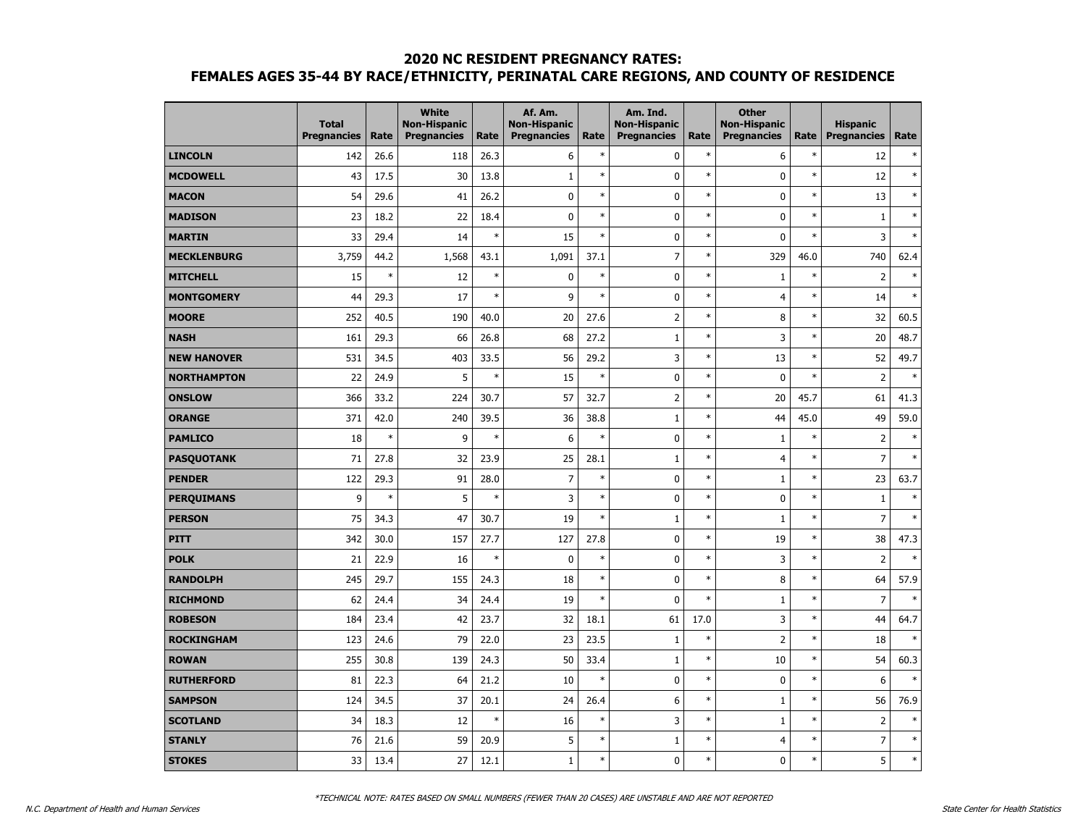# **2020 NC RESIDENT PREGNANCY RATES: FEMALES AGES 35-44 BY RACE/ETHNICITY, PERINATAL CARE REGIONS, AND COUNTY OF RESIDENCE**

|                    | <b>Total</b><br><b>Pregnancies</b> | Rate   | <b>White</b><br><b>Non-Hispanic</b><br><b>Pregnancies</b> | Rate   | Af. Am.<br><b>Non-Hispanic</b><br><b>Pregnancies</b> | Rate   | Am. Ind.<br><b>Non-Hispanic</b><br><b>Pregnancies</b> | Rate   | <b>Other</b><br><b>Non-Hispanic</b><br><b>Pregnancies</b> | Rate   | <b>Hispanic</b><br><b>Pregnancies</b> | Rate   |
|--------------------|------------------------------------|--------|-----------------------------------------------------------|--------|------------------------------------------------------|--------|-------------------------------------------------------|--------|-----------------------------------------------------------|--------|---------------------------------------|--------|
| <b>LINCOLN</b>     | 142                                | 26.6   | 118                                                       | 26.3   | 6                                                    | $\ast$ | $\pmb{0}$                                             | $\ast$ | 6                                                         | $\ast$ | 12                                    |        |
| <b>MCDOWELL</b>    | 43                                 | 17.5   | 30                                                        | 13.8   | $\mathbf{1}$                                         | $\ast$ | $\pmb{0}$                                             | $\ast$ | $\pmb{0}$                                                 | $\ast$ | 12                                    | $\ast$ |
| <b>MACON</b>       | 54                                 | 29.6   | 41                                                        | 26.2   | $\pmb{0}$                                            | $\ast$ | $\pmb{0}$                                             | $\ast$ | 0                                                         | $\ast$ | 13                                    | $\ast$ |
| <b>MADISON</b>     | 23                                 | 18.2   | 22                                                        | 18.4   | 0                                                    | $\ast$ | $\pmb{0}$                                             | $\ast$ | 0                                                         | $\ast$ | 1                                     | $\ast$ |
| <b>MARTIN</b>      | 33                                 | 29.4   | 14                                                        | $\ast$ | 15                                                   | $\ast$ | 0                                                     | $\ast$ | 0                                                         | $\ast$ | 3                                     | $\ast$ |
| <b>MECKLENBURG</b> | 3,759                              | 44.2   | 1,568                                                     | 43.1   | 1,091                                                | 37.1   | $\overline{7}$                                        | $\ast$ | 329                                                       | 46.0   | 740                                   | 62.4   |
| <b>MITCHELL</b>    | 15                                 | $\ast$ | 12                                                        | $\ast$ | 0                                                    | $\ast$ | 0                                                     | $\ast$ | $\mathbf{1}$                                              | $\ast$ | $\overline{2}$                        | $\ast$ |
| <b>MONTGOMERY</b>  | 44                                 | 29.3   | 17                                                        | $\ast$ | 9                                                    | $\ast$ | 0                                                     | $\ast$ | $\overline{4}$                                            | $\ast$ | 14                                    | $\ast$ |
| <b>MOORE</b>       | 252                                | 40.5   | 190                                                       | 40.0   | 20                                                   | 27.6   | $\overline{2}$                                        | $\ast$ | 8                                                         | $\ast$ | 32                                    | 60.5   |
| <b>NASH</b>        | 161                                | 29.3   | 66                                                        | 26.8   | 68                                                   | 27.2   | $1\,$                                                 | $\ast$ | 3                                                         | $\ast$ | 20                                    | 48.7   |
| <b>NEW HANOVER</b> | 531                                | 34.5   | 403                                                       | 33.5   | 56                                                   | 29.2   | 3                                                     | $\ast$ | 13                                                        | $\ast$ | 52                                    | 49.7   |
| <b>NORTHAMPTON</b> | 22                                 | 24.9   | 5                                                         | $\ast$ | 15                                                   | $\ast$ | $\pmb{0}$                                             | $\ast$ | 0                                                         | $\ast$ | $\overline{2}$                        | $\ast$ |
| <b>ONSLOW</b>      | 366                                | 33.2   | 224                                                       | 30.7   | 57                                                   | 32.7   | $\mathsf{2}\,$                                        | $\ast$ | 20                                                        | 45.7   | 61                                    | 41.3   |
| <b>ORANGE</b>      | 371                                | 42.0   | 240                                                       | 39.5   | 36                                                   | 38.8   | $\mathbf{1}$                                          | $\ast$ | 44                                                        | 45.0   | 49                                    | 59.0   |
| <b>PAMLICO</b>     | 18                                 | $\ast$ | 9                                                         | $\ast$ | 6                                                    | $\ast$ | $\mathbf 0$                                           | $\ast$ | $\mathbf{1}$                                              | $\ast$ | $\overline{2}$                        | $\ast$ |
| <b>PASQUOTANK</b>  | 71                                 | 27.8   | 32                                                        | 23.9   | 25                                                   | 28.1   | $1\,$                                                 | $\ast$ | $\overline{4}$                                            | $\ast$ | $\overline{7}$                        | $\ast$ |
| <b>PENDER</b>      | 122                                | 29.3   | 91                                                        | 28.0   | $\overline{7}$                                       | $\ast$ | $\pmb{0}$                                             | $\ast$ | $\mathbf{1}$                                              | $\ast$ | 23                                    | 63.7   |
| <b>PERQUIMANS</b>  | 9                                  | $\ast$ | 5                                                         | $\ast$ | 3                                                    | $\ast$ | $\pmb{0}$                                             | $\ast$ | 0                                                         | $\ast$ | $\mathbf{1}$                          | $\ast$ |
| <b>PERSON</b>      | 75                                 | 34.3   | 47                                                        | 30.7   | 19                                                   | $\ast$ | $\mathbf 1$                                           | $\ast$ | $\mathbf{1}$                                              | $\ast$ | $\overline{7}$                        | $\ast$ |
| <b>PITT</b>        | 342                                | 30.0   | 157                                                       | 27.7   | 127                                                  | 27.8   | $\mathbf 0$                                           | $\ast$ | 19                                                        | $\ast$ | 38                                    | 47.3   |
| <b>POLK</b>        | 21                                 | 22.9   | 16                                                        | $\ast$ | $\pmb{0}$                                            | $\ast$ | $\pmb{0}$                                             | $\ast$ | 3                                                         | $\ast$ |                                       | $\ast$ |
| <b>RANDOLPH</b>    | 245                                | 29.7   | 155                                                       | 24.3   | 18                                                   | $\ast$ | $\pmb{0}$                                             | $\ast$ | 8                                                         | $\ast$ | 64                                    | 57.9   |
| <b>RICHMOND</b>    | 62                                 | 24.4   | 34                                                        | 24.4   | 19                                                   | $\ast$ | $\mathbf 0$                                           | $\ast$ | $\mathbf 1$                                               | $\ast$ | $\overline{7}$                        | $\ast$ |
| <b>ROBESON</b>     | 184                                | 23.4   | 42                                                        | 23.7   | 32                                                   | 18.1   | 61                                                    | 17.0   | 3                                                         | $\ast$ | 44                                    | 64.7   |
| <b>ROCKINGHAM</b>  | 123                                | 24.6   | 79                                                        | 22.0   | 23                                                   | 23.5   | $\mathbf 1$                                           | $\ast$ | $\mathsf{2}$                                              | $\ast$ | 18                                    | $\ast$ |
| <b>ROWAN</b>       | 255                                | 30.8   | 139                                                       | 24.3   | 50                                                   | 33.4   | $\mathbf 1$                                           | $\ast$ | 10                                                        | $\ast$ | 54                                    | 60.3   |
| <b>RUTHERFORD</b>  | 81                                 | 22.3   | 64                                                        | 21.2   | 10                                                   | $\ast$ | $\pmb{0}$                                             | $\ast$ | $\pmb{0}$                                                 | $\ast$ | 6                                     | $\ast$ |
| <b>SAMPSON</b>     | 124                                | 34.5   | 37                                                        | 20.1   | 24                                                   | 26.4   | 6                                                     | $\ast$ | $\mathbf{1}$                                              | $\ast$ | 56                                    | 76.9   |
| <b>SCOTLAND</b>    | 34                                 | 18.3   | 12                                                        | $\ast$ | 16                                                   | $\ast$ | 3                                                     | $\ast$ | $\mathbf{1}$                                              | $\ast$ | $\overline{2}$                        | $\ast$ |
| <b>STANLY</b>      | 76                                 | 21.6   | 59                                                        | 20.9   | 5                                                    | $\ast$ | $\mathbf{1}$                                          | $\ast$ | 4                                                         | $\ast$ | 7                                     | $\ast$ |
| <b>STOKES</b>      | 33                                 | 13.4   | 27                                                        | 12.1   | $\mathbf{1}$                                         | $\ast$ | $\mathbf 0$                                           | $\ast$ | 0                                                         | $\ast$ | 5                                     | $\ast$ |